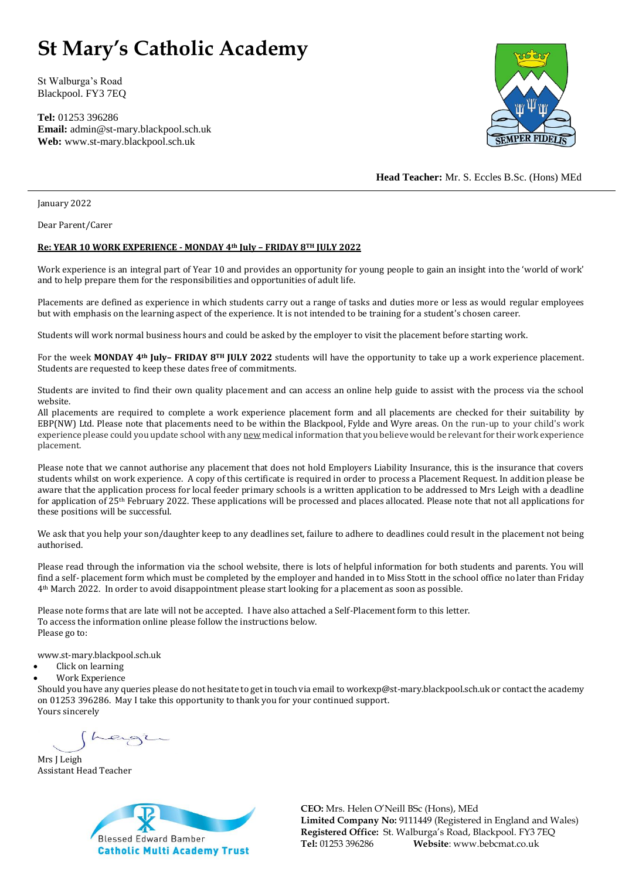## **St Mary's Catholic Academy**

St Walburga's Road Blackpool. FY3 7EQ

**Tel:** 01253 396286 **Email:** admin@st-mary.blackpool.sch.uk **Web:** www.st-mary.blackpool.sch.uk



**Head Teacher:** Mr. S. Eccles B.Sc. (Hons) MEd

January 2022

Dear Parent/Carer

## **Re: YEAR 10 WORK EXPERIENCE - MONDAY 4th July – FRIDAY 8TH JULY 2022**

Work experience is an integral part of Year 10 and provides an opportunity for young people to gain an insight into the 'world of work' and to help prepare them for the responsibilities and opportunities of adult life.

Placements are defined as experience in which students carry out a range of tasks and duties more or less as would regular employees but with emphasis on the learning aspect of the experience. It is not intended to be training for a student's chosen career.

Students will work normal business hours and could be asked by the employer to visit the placement before starting work.

For the week **MONDAY 4th July– FRIDAY 8TH JULY 2022** students will have the opportunity to take up a work experience placement. Students are requested to keep these dates free of commitments.

Students are invited to find their own quality placement and can access an online help guide to assist with the process via the school website.

All placements are required to complete a work experience placement form and all placements are checked for their suitability by EBP(NW) Ltd. Please note that placements need to be within the Blackpool, Fylde and Wyre areas. On the run-up to your child's work experience please could you update school with any new medical information that you believe would be relevant for their work experience placement.

Please note that we cannot authorise any placement that does not hold Employers Liability Insurance, this is the insurance that covers students whilst on work experience. A copy of this certificate is required in order to process a Placement Request. In addition please be aware that the application process for local feeder primary schools is a written application to be addressed to Mrs Leigh with a deadline for application of 25th February 2022. These applications will be processed and places allocated. Please note that not all applications for these positions will be successful.

We ask that you help your son/daughter keep to any deadlines set, failure to adhere to deadlines could result in the placement not being authorised.

Please read through the information via the school website, there is lots of helpful information for both students and parents. You will find a self- placement form which must be completed by the employer and handed in to Miss Stott in the school office no later than Friday 4th March 2022. In order to avoid disappointment please start looking for a placement as soon as possible.

Please note forms that are late will not be accepted. I have also attached a Self-Placement form to this letter. To access the information online please follow the instructions below. Please go to:

www.st-mary.blackpool.sch.uk

- Click on learning
- Work Experience

Should you have any queries please do not hesitate to get in touch via email to workexp@st-mary.blackpool.sch.uk or contact the academy on 01253 396286. May I take this opportunity to thank you for your continued support. Yours sincerely

Mrs J Leigh Assistant Head Teacher



**CEO:** Mrs. Helen O'Neill BSc (Hons), MEd **Limited Company No:** 9111449 (Registered in England and Wales) **Registered Office:** St. Walburga's Road, Blackpool. FY3 7EQ **Tel:** 01253 396286 **Website**: www.bebcmat.co.uk